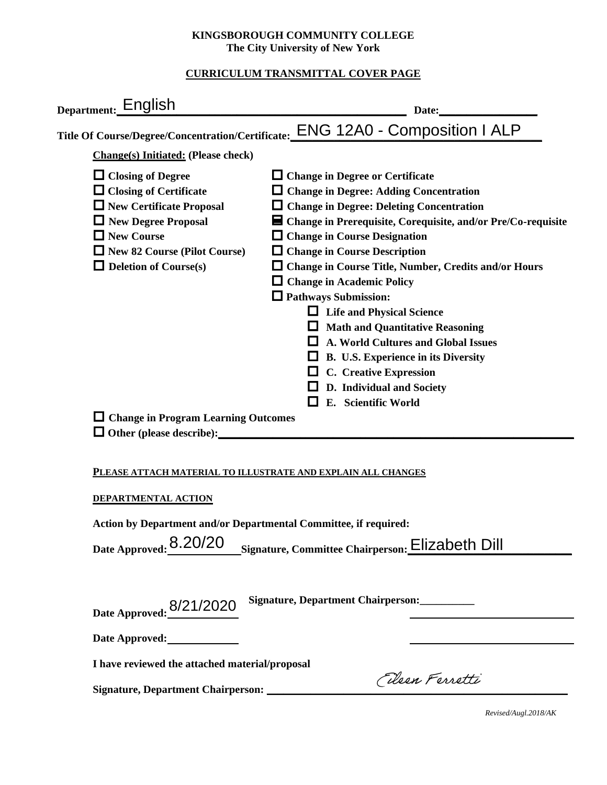## **KINGSBOROUGH COMMUNITY COLLEGE The City University of New York**

## **CURRICULUM TRANSMITTAL COVER PAGE**

| Department:_English<br>Date:                                                                                                                                                                                                                                                                                                                                                                                                                                                                                                                                                                                                                                                                                                                                                                                                                                                            |  |  |
|-----------------------------------------------------------------------------------------------------------------------------------------------------------------------------------------------------------------------------------------------------------------------------------------------------------------------------------------------------------------------------------------------------------------------------------------------------------------------------------------------------------------------------------------------------------------------------------------------------------------------------------------------------------------------------------------------------------------------------------------------------------------------------------------------------------------------------------------------------------------------------------------|--|--|
| Title Of Course/Degree/Concentration/Certificate:_ENG_12A0 - Composition   ALP                                                                                                                                                                                                                                                                                                                                                                                                                                                                                                                                                                                                                                                                                                                                                                                                          |  |  |
| <b>Change(s)</b> Initiated: (Please check)                                                                                                                                                                                                                                                                                                                                                                                                                                                                                                                                                                                                                                                                                                                                                                                                                                              |  |  |
| $\Box$ Closing of Degree<br>$\Box$ Change in Degree or Certificate<br>$\Box$ Closing of Certificate<br>$\Box$ Change in Degree: Adding Concentration<br>$\Box$ New Certificate Proposal<br>$\Box$ Change in Degree: Deleting Concentration<br>New Degree Proposal<br>■ Change in Prerequisite, Corequisite, and/or Pre/Co-requisite<br>$\Box$ New Course<br>$\Box$ Change in Course Designation<br>$\Box$ New 82 Course (Pilot Course)<br>$\Box$ Change in Course Description<br>$\Box$ Deletion of Course(s)<br>□ Change in Course Title, Number, Credits and/or Hours<br>$\Box$ Change in Academic Policy<br>$\Box$ Pathways Submission:<br><b>Life and Physical Science</b><br>$\Box$ Math and Quantitative Reasoning<br>A. World Cultures and Global Issues<br>ப<br>$\Box$ B. U.S. Experience in its Diversity<br>$\Box$ C. Creative Expression<br>$\Box$ D. Individual and Society |  |  |
| E. Scientific World<br>l 1<br>$\Box$ Change in Program Learning Outcomes                                                                                                                                                                                                                                                                                                                                                                                                                                                                                                                                                                                                                                                                                                                                                                                                                |  |  |
| PLEASE ATTACH MATERIAL TO ILLUSTRATE AND EXPLAIN ALL CHANGES<br>DEPARTMENTAL ACTION<br>Action by Department and/or Departmental Committee, if required:<br>Date Approved: 8.20/20<br>Signature, Committee Chairperson: Elizabeth Dill                                                                                                                                                                                                                                                                                                                                                                                                                                                                                                                                                                                                                                                   |  |  |
| Signature, Department Chairperson:<br>Date Approved: 8/21/2020<br>Date Approved:                                                                                                                                                                                                                                                                                                                                                                                                                                                                                                                                                                                                                                                                                                                                                                                                        |  |  |
| I have reviewed the attached material/proposal                                                                                                                                                                                                                                                                                                                                                                                                                                                                                                                                                                                                                                                                                                                                                                                                                                          |  |  |
| Eleen Ferretti<br>Signature, Department Chairperson: _________                                                                                                                                                                                                                                                                                                                                                                                                                                                                                                                                                                                                                                                                                                                                                                                                                          |  |  |

*Revised/Augl.2018/AK*